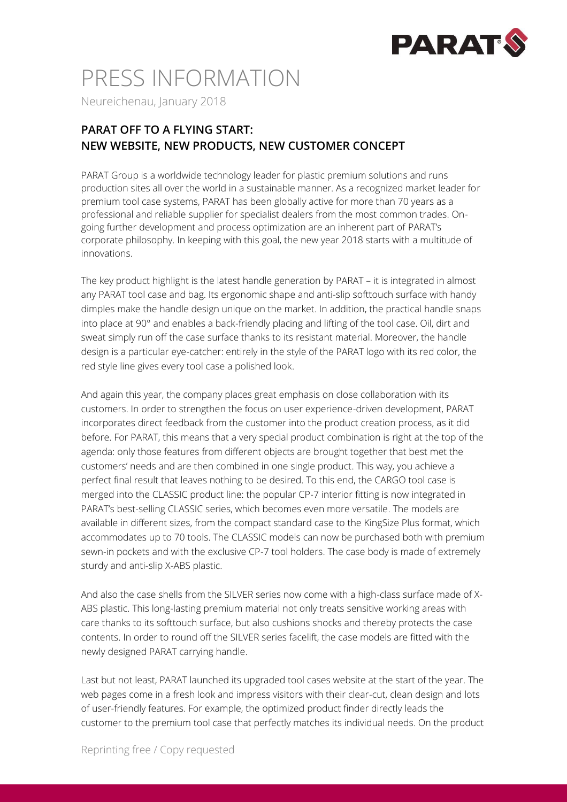

# PRESS INFORMATION

Neureichenau, January 2018

### **PARAT OFF TO A FLYING START: NEW WEBSITE, NEW PRODUCTS, NEW CUSTOMER CONCEPT**

PARAT Group is a worldwide technology leader for plastic premium solutions and runs production sites all over the world in a sustainable manner. As a recognized market leader for premium tool case systems, PARAT has been globally active for more than 70 years as a professional and reliable supplier for specialist dealers from the most common trades. Ongoing further development and process optimization are an inherent part of PARAT's corporate philosophy. In keeping with this goal, the new year 2018 starts with a multitude of innovations.

The key product highlight is the latest handle generation by PARAT – it is integrated in almost any PARAT tool case and bag. Its ergonomic shape and anti-slip softtouch surface with handy dimples make the handle design unique on the market. In addition, the practical handle snaps into place at 90° and enables a back-friendly placing and lifting of the tool case. Oil, dirt and sweat simply run off the case surface thanks to its resistant material. Moreover, the handle design is a particular eye-catcher: entirely in the style of the PARAT logo with its red color, the red style line gives every tool case a polished look.

And again this year, the company places great emphasis on close collaboration with its customers. In order to strengthen the focus on user experience-driven development, PARAT incorporates direct feedback from the customer into the product creation process, as it did before. For PARAT, this means that a very special product combination is right at the top of the agenda: only those features from different objects are brought together that best met the customers' needs and are then combined in one single product. This way, you achieve a perfect final result that leaves nothing to be desired. To this end, the CARGO tool case is merged into the CLASSIC product line: the popular CP-7 interior fitting is now integrated in PARAT's best-selling CLASSIC series, which becomes even more versatile. The models are available in different sizes, from the compact standard case to the KingSize Plus format, which accommodates up to 70 tools. The CLASSIC models can now be purchased both with premium sewn-in pockets and with the exclusive CP-7 tool holders. The case body is made of extremely sturdy and anti-slip X-ABS plastic.

And also the case shells from the SILVER series now come with a high-class surface made of X-ABS plastic. This long-lasting premium material not only treats sensitive working areas with care thanks to its softtouch surface, but also cushions shocks and thereby protects the case contents. In order to round off the SILVER series facelift, the case models are fitted with the newly designed PARAT carrying handle.

Last but not least, PARAT launched its upgraded tool cases website at the start of the year. The web pages come in a fresh look and impress visitors with their clear-cut, clean design and lots of user-friendly features. For example, the optimized product finder directly leads the customer to the premium tool case that perfectly matches its individual needs. On the product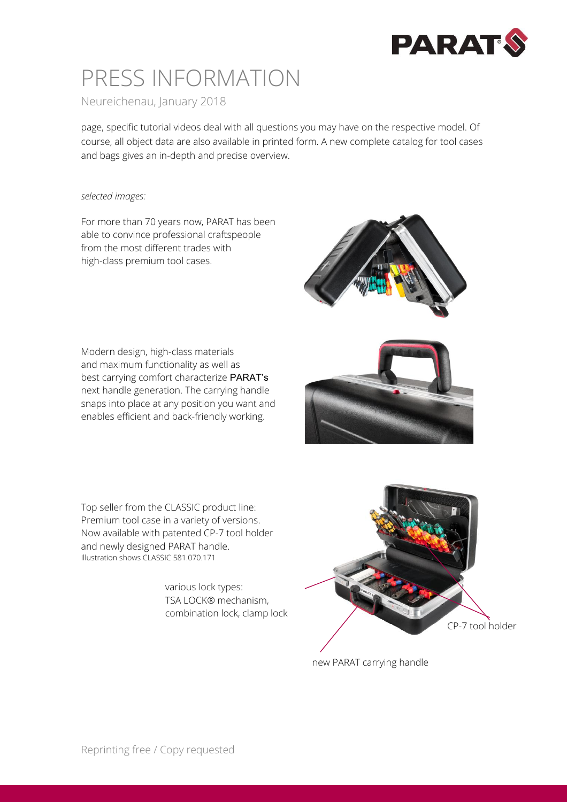

### PRESS INFORMATION

Neureichenau, January 2018

page, specific tutorial videos deal with all questions you may have on the respective model. Of course, all object data are also available in printed form. A new complete catalog for tool cases and bags gives an in-depth and precise overview.

#### *selected images:*

For more than 70 years now, PARAT has been able to convince professional craftspeople from the most different trades with high-class premium tool cases.

Modern design, high-class materials and maximum functionality as well as best carrying comfort characterize PARAT's next handle generation. The carrying handle snaps into place at any position you want and enables efficient and back-friendly working.



Top seller from the CLASSIC product line: Premium tool case in a variety of versions. Now available with patented CP-7 tool holder and newly designed PARAT handle. Illustration shows CLASSIC 581.070.171

> various lock types: TSA LOCK® mechanism, combination lock, clamp lock



new PARAT carrying handle